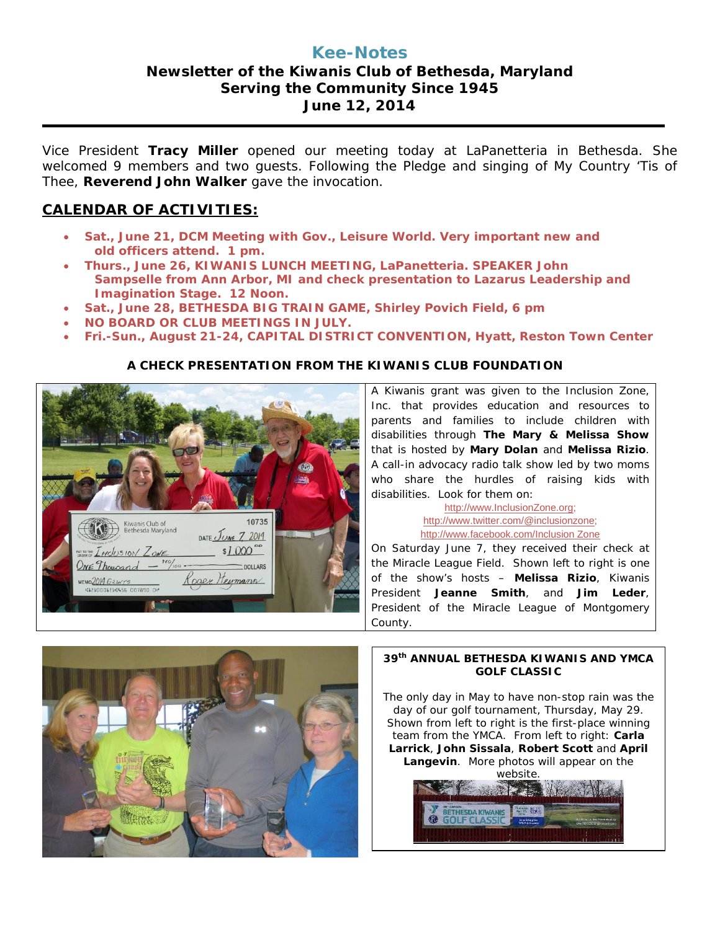## **Kee-Notes Newsletter of the Kiwanis Club of Bethesda, Maryland Serving the Community Since 1945 June 12, 2014**

Vice President **Tracy Miller** opened our meeting today at LaPanetteria in Bethesda. She welcomed 9 members and two guests. Following the Pledge and singing of My Country 'Tis of Thee, **Reverend John Walker** gave the invocation.

# **CALENDAR OF ACTIVITIES:**

- **Sat., June 21, DCM Meeting with Gov., Leisure World. Very important new and old officers attend. 1 pm.**
- **Thurs., June 26, KIWANIS LUNCH MEETING, LaPanetteria. SPEAKER John Sampselle from Ann Arbor, MI and check presentation to Lazarus Leadership and Imagination Stage. 12 Noon.**
- **Sat., June 28, BETHESDA BIG TRAIN GAME, Shirley Povich Field, 6 pm**
- **NO BOARD OR CLUB MEETINGS IN JULY.**
- **Fri.-Sun., August 21-24, CAPITAL DISTRICT CONVENTION, Hyatt, Reston Town Center**

## **A CHECK PRESENTATION FROM THE KIWANIS CLUB FOUNDATION**



A Kiwanis grant was given to the Inclusion Zone, Inc. that provides education and resources to parents and families to include children with disabilities through **The Mary & Melissa Show** that is hosted by **Mary Dolan** and **Melissa Rizio**. A call-in advocacy radio talk show led by two moms who share the hurdles of raising kids with disabilities. Look for them on:

> [http://www.InclusionZone.org;](http://www.inclusionzone.org/) [http://www.twitter.com/@inclusionzone;](http://www.twitter.com/@inclusionzone) [http://www.facebook.com/Inclusion Zone](http://www.facebook.com/Inclusion%20Zone)

On Saturday June 7, they received their check at the Miracle League Field. Shown left to right is one of the show's hosts – **Melissa Rizio**, Kiwanis President **Jeanne Smith**, and **Jim Leder**, President of the Miracle League of Montgomery County.



### **39th ANNUAL BETHESDA KIWANIS AND YMCA GOLF CLASSIC**

The only day in May to have non-stop rain was the day of our golf tournament, Thursday, May 29. Shown from left to right is the first-place winning team from the YMCA. From left to right: **Carla Larrick**, **John Sissala**, **Robert Scott** and **April Langevin**. More photos will appear on the